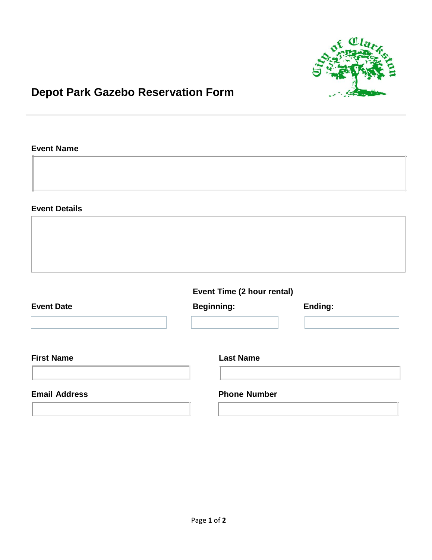

## **Depot Park Gazebo Reservation Form**

## **Event Name**

**Event Details**

**Event Time (2 hour rental)**

| <b>Event Date</b>    | <b>Beginning:</b>   | Ending: |
|----------------------|---------------------|---------|
| <b>First Name</b>    | <b>Last Name</b>    |         |
| <b>Email Address</b> | <b>Phone Number</b> |         |